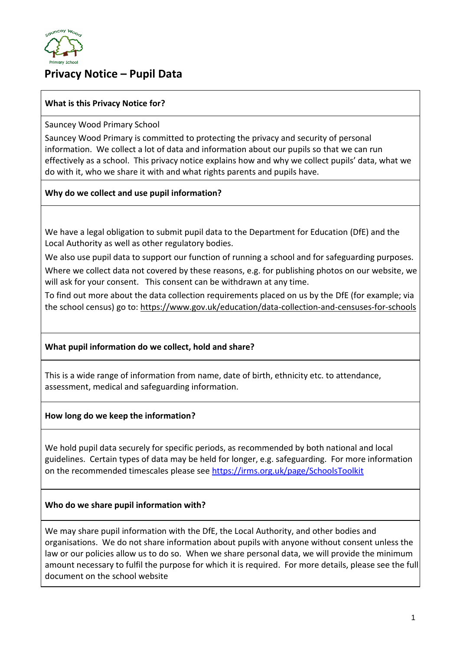

# **Privacy Notice – Pupil Data**

## **What is this Privacy Notice for?**

Sauncey Wood Primary School

Sauncey Wood Primary is committed to protecting the privacy and security of personal information. We collect a lot of data and information about our pupils so that we can run effectively as a school. This privacy notice explains how and why we collect pupils' data, what we do with it, who we share it with and what rights parents and pupils have.

## **Why do we collect and use pupil information?**

We have a legal obligation to submit pupil data to the Department for Education (DfE) and the Local Authority as well as other regulatory bodies.

We also use pupil data to support our function of running a school and for safeguarding purposes.

Where we collect data not covered by these reasons, e.g. for publishing photos on our website, we will ask for your consent. This consent can be withdrawn at any time.

To find out more about the data collection requirements placed on us by the DfE (for example; via the school census) go to:<https://www.gov.uk/education/data-collection-and-censuses-for-schools>

## **What pupil information do we collect, hold and share?**

This is a wide range of information from name, date of birth, ethnicity etc. to attendance, assessment, medical and safeguarding information.

**How long do we keep the information?**

We hold pupil data securely for specific periods, as recommended by both national and local guidelines. Certain types of data may be held for longer, e.g. safeguarding. For more information on the recommended timescales please see<https://irms.org.uk/page/SchoolsToolkit>

## **Who do we share pupil information with?**

We may share pupil information with the DfE, the Local Authority, and other bodies and organisations. We do not share information about pupils with anyone without consent unless the law or our policies allow us to do so. When we share personal data, we will provide the minimum amount necessary to fulfil the purpose for which it is required. For more details, please see the full document on the school website